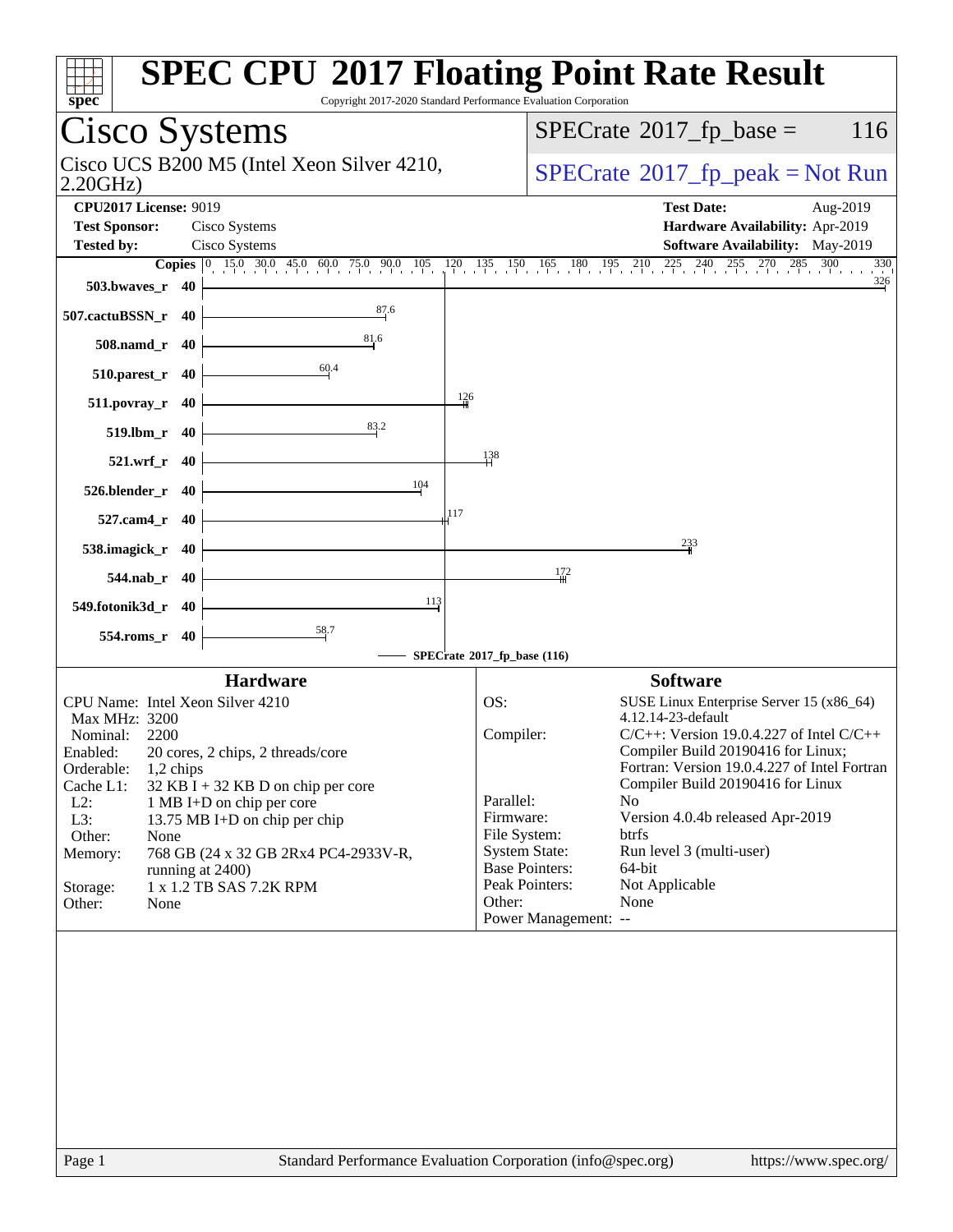| spec <sup>®</sup>                                     |                                    | <b>SPEC CPU®2017 Floating Point Rate Result</b><br>Copyright 2017-2020 Standard Performance Evaluation Corporation                                                            |                             |              |                       |                                                                    |                       |
|-------------------------------------------------------|------------------------------------|-------------------------------------------------------------------------------------------------------------------------------------------------------------------------------|-----------------------------|--------------|-----------------------|--------------------------------------------------------------------|-----------------------|
|                                                       |                                    | <b>Cisco Systems</b>                                                                                                                                                          |                             |              |                       | $SPECrate^{\circledast}2017$ _fp_base =                            | 116                   |
| Cisco UCS B200 M5 (Intel Xeon Silver 4210,<br>2.20GHz |                                    |                                                                                                                                                                               |                             |              |                       | $SPECrate^{\circ}2017rfp peak = Not Run$                           |                       |
| <b>CPU2017 License: 9019</b><br><b>Test Sponsor:</b>  |                                    |                                                                                                                                                                               |                             |              | <b>Test Date:</b>     | Aug-2019                                                           |                       |
| <b>Tested by:</b>                                     |                                    | Cisco Systems<br>Cisco Systems                                                                                                                                                |                             |              |                       | Hardware Availability: Apr-2019<br>Software Availability: May-2019 |                       |
|                                                       |                                    | <b>Copies</b> $\begin{bmatrix} 0 & 15.0 & 30.0 & 45.0 & 60.0 & 75.0 & 90.0 & 105 & 120 & 135 & 150 & 165 & 180 & 195 & 210 & 225 & 240 & 255 & 270 & 285 & 300 \end{bmatrix}$ |                             |              |                       |                                                                    | 330                   |
|                                                       | $503.bwaves_r$ 40                  |                                                                                                                                                                               |                             |              |                       |                                                                    | 326                   |
| 507.cactuBSSN_r 40                                    |                                    | 87.6                                                                                                                                                                          |                             |              |                       |                                                                    |                       |
|                                                       | 508.namd_r 40                      | 81.6<br>60,4                                                                                                                                                                  |                             |              |                       |                                                                    |                       |
|                                                       | 510.parest_r 40                    |                                                                                                                                                                               | 126                         |              |                       |                                                                    |                       |
|                                                       | $511. povray_r 40$<br>519.lbm r 40 | 83.2                                                                                                                                                                          |                             |              |                       |                                                                    |                       |
|                                                       | $521.wrf_r$ 40                     |                                                                                                                                                                               |                             | 138          |                       |                                                                    |                       |
|                                                       | 526.blender_r 40                   |                                                                                                                                                                               | 104                         |              |                       |                                                                    |                       |
|                                                       | 527.cam4_r 40                      |                                                                                                                                                                               | 117                         |              |                       |                                                                    |                       |
|                                                       | 538.imagick_r 40                   |                                                                                                                                                                               |                             |              |                       | 233                                                                |                       |
|                                                       | $544$ .nab_r $40$                  |                                                                                                                                                                               |                             |              | 172                   |                                                                    |                       |
| 549.fotonik3d_r 40                                    |                                    | $\frac{58.7}{5}$                                                                                                                                                              | 113                         |              |                       |                                                                    |                       |
|                                                       | 554.roms_r 40                      |                                                                                                                                                                               | SPECrate®2017_fp_base (116) |              |                       |                                                                    |                       |
|                                                       |                                    | <b>Hardware</b>                                                                                                                                                               |                             |              |                       | <b>Software</b>                                                    |                       |
|                                                       |                                    | CPU Name: Intel Xeon Silver 4210                                                                                                                                              |                             | OS:          |                       | SUSE Linux Enterprise Server 15 (x86_64)                           |                       |
| Max MHz: 3200                                         |                                    |                                                                                                                                                                               |                             |              |                       | 4.12.14-23-default                                                 |                       |
| Nominal:                                              | 2200                               |                                                                                                                                                                               |                             | Compiler:    |                       | $C/C++$ : Version 19.0.4.227 of Intel $C/C++$                      |                       |
| Enabled:                                              |                                    | 20 cores, 2 chips, 2 threads/core                                                                                                                                             |                             |              |                       | Compiler Build 20190416 for Linux:                                 |                       |
| Orderable:                                            | 1,2 chips                          |                                                                                                                                                                               |                             |              |                       | Fortran: Version 19.0.4.227 of Intel Fortran                       |                       |
| Cache L1:                                             |                                    | $32$ KB I + 32 KB D on chip per core                                                                                                                                          |                             |              |                       | Compiler Build 20190416 for Linux                                  |                       |
| $L2$ :                                                |                                    | 1 MB I+D on chip per core                                                                                                                                                     |                             | Parallel:    |                       | N <sub>0</sub>                                                     |                       |
| L3:                                                   |                                    | 13.75 MB I+D on chip per chip                                                                                                                                                 |                             | Firmware:    |                       | Version 4.0.4b released Apr-2019                                   |                       |
| Other:                                                | None                               |                                                                                                                                                                               |                             | File System: |                       | btrfs                                                              |                       |
| Memory:                                               |                                    | 768 GB (24 x 32 GB 2Rx4 PC4-2933V-R,                                                                                                                                          |                             |              | <b>System State:</b>  | Run level 3 (multi-user)                                           |                       |
|                                                       |                                    | running at 2400)                                                                                                                                                              |                             |              | <b>Base Pointers:</b> | 64-bit                                                             |                       |
| Storage:                                              |                                    | 1 x 1.2 TB SAS 7.2K RPM                                                                                                                                                       |                             |              | Peak Pointers:        | Not Applicable                                                     |                       |
| Other:                                                | None                               |                                                                                                                                                                               |                             | Other:       | Power Management: --  | None                                                               |                       |
|                                                       |                                    |                                                                                                                                                                               |                             |              |                       |                                                                    |                       |
|                                                       |                                    |                                                                                                                                                                               |                             |              |                       |                                                                    |                       |
|                                                       |                                    |                                                                                                                                                                               |                             |              |                       |                                                                    |                       |
|                                                       |                                    |                                                                                                                                                                               |                             |              |                       |                                                                    |                       |
|                                                       |                                    |                                                                                                                                                                               |                             |              |                       |                                                                    |                       |
|                                                       |                                    |                                                                                                                                                                               |                             |              |                       |                                                                    |                       |
|                                                       |                                    |                                                                                                                                                                               |                             |              |                       |                                                                    |                       |
|                                                       |                                    |                                                                                                                                                                               |                             |              |                       |                                                                    |                       |
|                                                       |                                    |                                                                                                                                                                               |                             |              |                       |                                                                    |                       |
|                                                       |                                    |                                                                                                                                                                               |                             |              |                       |                                                                    |                       |
|                                                       |                                    |                                                                                                                                                                               |                             |              |                       |                                                                    |                       |
|                                                       |                                    |                                                                                                                                                                               |                             |              |                       |                                                                    |                       |
| Page 1                                                |                                    | Standard Performance Evaluation Corporation (info@spec.org)                                                                                                                   |                             |              |                       |                                                                    | https://www.spec.org/ |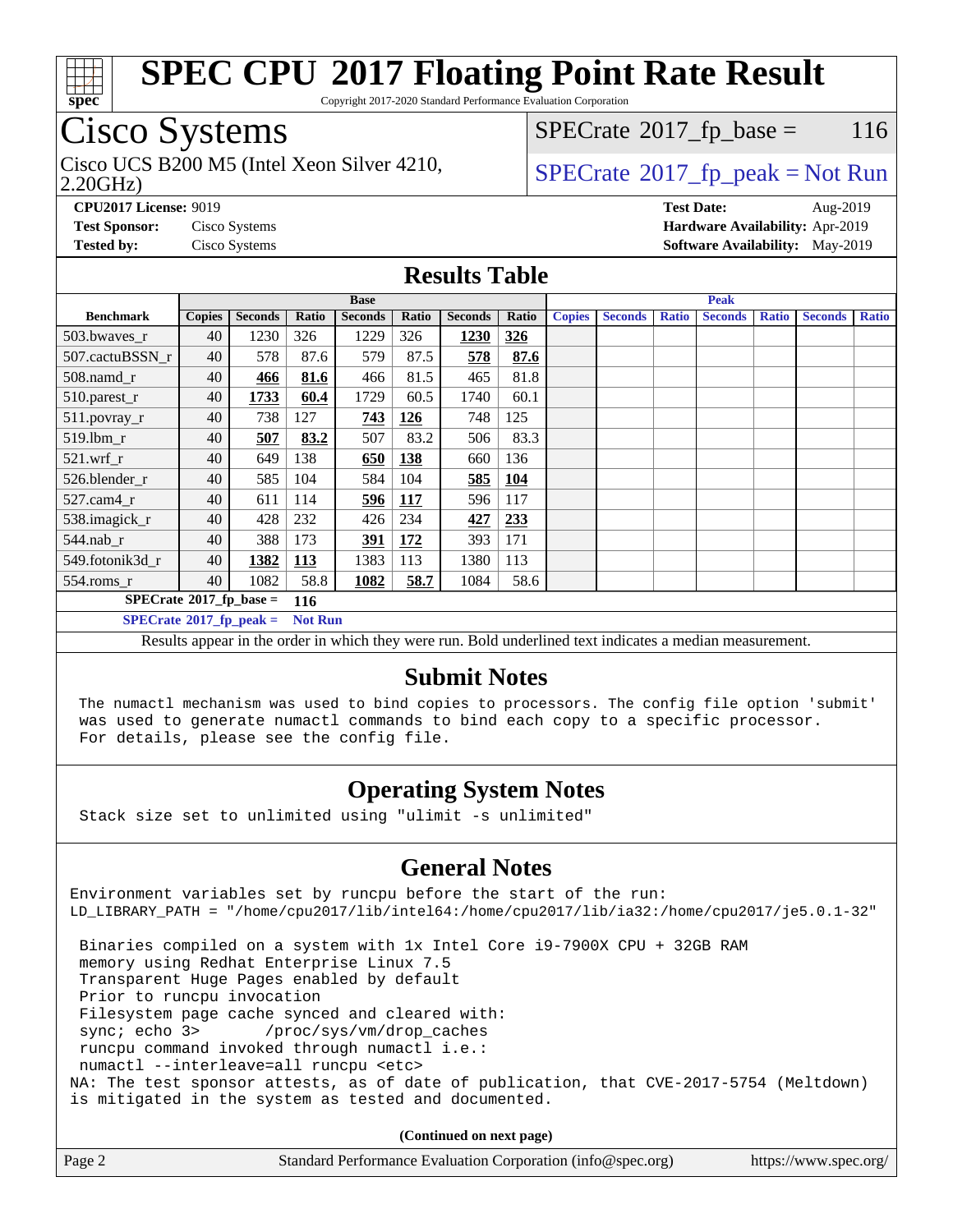

Copyright 2017-2020 Standard Performance Evaluation Corporation

### Cisco Systems

2.20GHz) Cisco UCS B200 M5 (Intel Xeon Silver 4210,  $\begin{array}{c|c} | \text{SPECrate} \textdegree 2017\_fp\_peak = Not Run \\ \hline \end{array}$  $\begin{array}{c|c} | \text{SPECrate} \textdegree 2017\_fp\_peak = Not Run \\ \hline \end{array}$  $\begin{array}{c|c} | \text{SPECrate} \textdegree 2017\_fp\_peak = Not Run \\ \hline \end{array}$ 

 $SPECTate$ <sup>®</sup>[2017\\_fp\\_base =](http://www.spec.org/auto/cpu2017/Docs/result-fields.html#SPECrate2017fpbase) 116

**[CPU2017 License:](http://www.spec.org/auto/cpu2017/Docs/result-fields.html#CPU2017License)** 9019 **[Test Date:](http://www.spec.org/auto/cpu2017/Docs/result-fields.html#TestDate)** Aug-2019 **[Test Sponsor:](http://www.spec.org/auto/cpu2017/Docs/result-fields.html#TestSponsor)** Cisco Systems **[Hardware Availability:](http://www.spec.org/auto/cpu2017/Docs/result-fields.html#HardwareAvailability)** Apr-2019 **[Tested by:](http://www.spec.org/auto/cpu2017/Docs/result-fields.html#Testedby)** Cisco Systems **[Software Availability:](http://www.spec.org/auto/cpu2017/Docs/result-fields.html#SoftwareAvailability)** May-2019

#### **[Results Table](http://www.spec.org/auto/cpu2017/Docs/result-fields.html#ResultsTable)**

|                                          | <b>Base</b>   |                |                |                |            |                |            |               | <b>Peak</b>    |              |                |              |                |              |
|------------------------------------------|---------------|----------------|----------------|----------------|------------|----------------|------------|---------------|----------------|--------------|----------------|--------------|----------------|--------------|
| <b>Benchmark</b>                         | <b>Copies</b> | <b>Seconds</b> | Ratio          | <b>Seconds</b> | Ratio      | <b>Seconds</b> | Ratio      | <b>Copies</b> | <b>Seconds</b> | <b>Ratio</b> | <b>Seconds</b> | <b>Ratio</b> | <b>Seconds</b> | <b>Ratio</b> |
| 503.bwayes_r                             | 40            | 1230           | 326            | 1229           | 326        | 1230           | 326        |               |                |              |                |              |                |              |
| 507.cactuBSSN r                          | 40            | 578            | 87.6           | 579            | 87.5       | 578            | 87.6       |               |                |              |                |              |                |              |
| $508$ .namd $r$                          | 40            | 466            | 81.6           | 466            | 81.5       | 465            | 81.8       |               |                |              |                |              |                |              |
| 510.parest_r                             | 40            | 1733           | 60.4           | 1729           | 60.5       | 1740           | 60.1       |               |                |              |                |              |                |              |
| 511.povray_r                             | 40            | 738            | 127            | 743            | 126        | 748            | 125        |               |                |              |                |              |                |              |
| 519.lbm r                                | 40            | 507            | 83.2           | 507            | 83.2       | 506            | 83.3       |               |                |              |                |              |                |              |
| $521.wrf$ r                              | 40            | 649            | 138            | 650            | 138        | 660            | 136        |               |                |              |                |              |                |              |
| 526.blender r                            | 40            | 585            | 104            | 584            | 104        | 585            | <u>104</u> |               |                |              |                |              |                |              |
| $527$ .cam $4r$                          | 40            | 611            | 114            | 596            | <b>117</b> | 596            | 117        |               |                |              |                |              |                |              |
| 538.imagick_r                            | 40            | 428            | 232            | 426            | 234        | 427            | 233        |               |                |              |                |              |                |              |
| $544$ .nab r                             | 40            | 388            | 173            | 391            | <u>172</u> | 393            | 171        |               |                |              |                |              |                |              |
| 549.fotonik3d r                          | 40            | 1382           | <u>113</u>     | 1383           | 113        | 1380           | 113        |               |                |              |                |              |                |              |
| $554$ .roms_r                            | 40            | 1082           | 58.8           | 1082           | 58.7       | 1084           | 58.6       |               |                |              |                |              |                |              |
| $SPECrate^{\circ}2017$ _fp_base =<br>116 |               |                |                |                |            |                |            |               |                |              |                |              |                |              |
| $SPECrate^{\circ}2017$ _fp_peak =        |               |                | <b>Not Run</b> |                |            |                |            |               |                |              |                |              |                |              |

Results appear in the [order in which they were run.](http://www.spec.org/auto/cpu2017/Docs/result-fields.html#RunOrder) Bold underlined text [indicates a median measurement.](http://www.spec.org/auto/cpu2017/Docs/result-fields.html#Median)

#### **[Submit Notes](http://www.spec.org/auto/cpu2017/Docs/result-fields.html#SubmitNotes)**

 The numactl mechanism was used to bind copies to processors. The config file option 'submit' was used to generate numactl commands to bind each copy to a specific processor. For details, please see the config file.

### **[Operating System Notes](http://www.spec.org/auto/cpu2017/Docs/result-fields.html#OperatingSystemNotes)**

Stack size set to unlimited using "ulimit -s unlimited"

### **[General Notes](http://www.spec.org/auto/cpu2017/Docs/result-fields.html#GeneralNotes)**

Environment variables set by runcpu before the start of the run: LD\_LIBRARY\_PATH = "/home/cpu2017/lib/intel64:/home/cpu2017/lib/ia32:/home/cpu2017/je5.0.1-32"

 Binaries compiled on a system with 1x Intel Core i9-7900X CPU + 32GB RAM memory using Redhat Enterprise Linux 7.5 Transparent Huge Pages enabled by default Prior to runcpu invocation Filesystem page cache synced and cleared with: sync; echo 3> /proc/sys/vm/drop\_caches runcpu command invoked through numactl i.e.: numactl --interleave=all runcpu <etc> NA: The test sponsor attests, as of date of publication, that CVE-2017-5754 (Meltdown) is mitigated in the system as tested and documented.

**(Continued on next page)**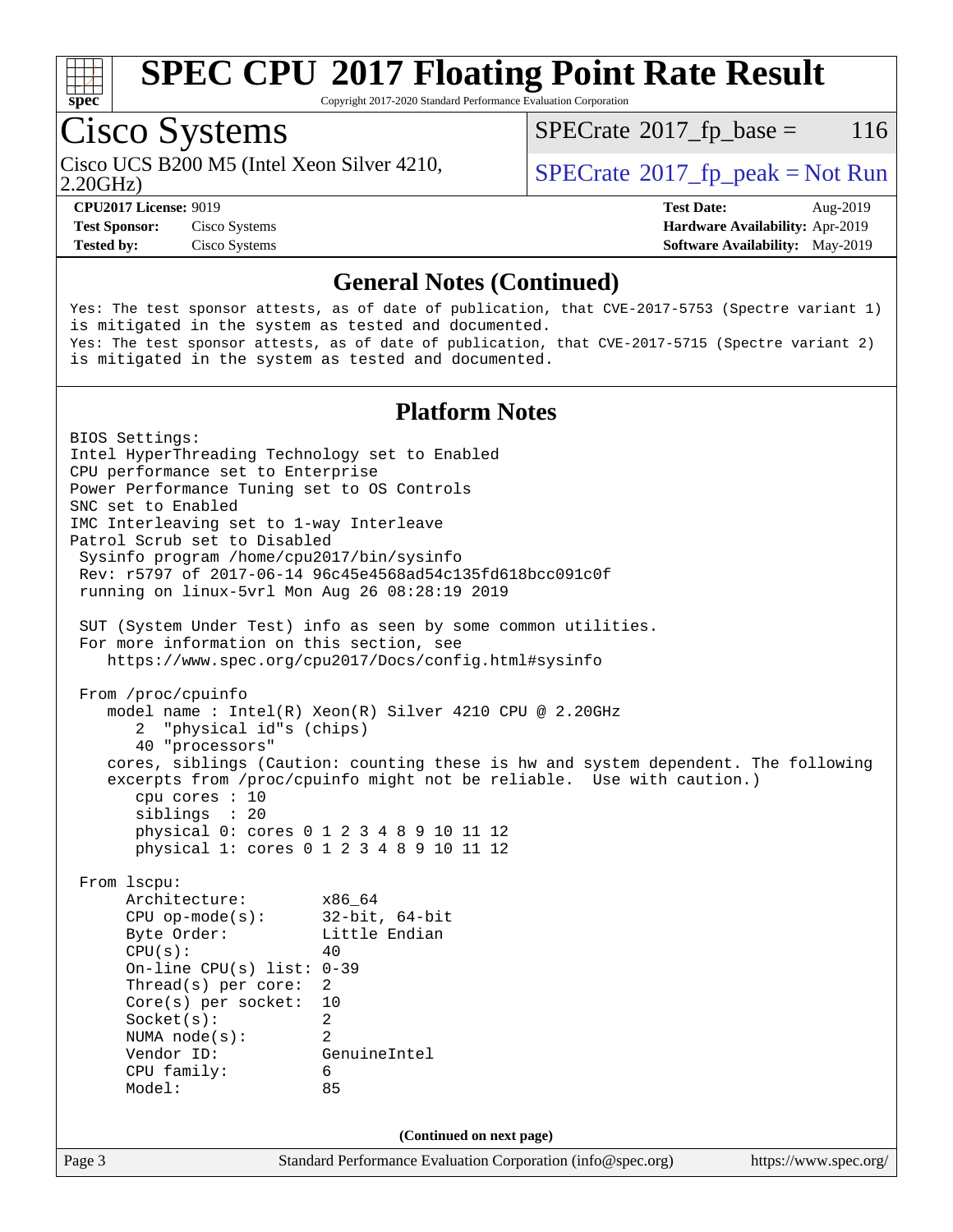

Copyright 2017-2020 Standard Performance Evaluation Corporation

### Cisco Systems

2.20GHz) Cisco UCS B200 M5 (Intel Xeon Silver 4210,  $\vert$  [SPECrate](http://www.spec.org/auto/cpu2017/Docs/result-fields.html#SPECrate2017fppeak) 2017 fp peak = Not Run

 $SPECTate$ <sup>®</sup>[2017\\_fp\\_base =](http://www.spec.org/auto/cpu2017/Docs/result-fields.html#SPECrate2017fpbase) 116

**[CPU2017 License:](http://www.spec.org/auto/cpu2017/Docs/result-fields.html#CPU2017License)** 9019 **[Test Date:](http://www.spec.org/auto/cpu2017/Docs/result-fields.html#TestDate)** Aug-2019 **[Test Sponsor:](http://www.spec.org/auto/cpu2017/Docs/result-fields.html#TestSponsor)** Cisco Systems **[Hardware Availability:](http://www.spec.org/auto/cpu2017/Docs/result-fields.html#HardwareAvailability)** Apr-2019 **[Tested by:](http://www.spec.org/auto/cpu2017/Docs/result-fields.html#Testedby)** Cisco Systems **[Software Availability:](http://www.spec.org/auto/cpu2017/Docs/result-fields.html#SoftwareAvailability)** May-2019

#### **[General Notes \(Continued\)](http://www.spec.org/auto/cpu2017/Docs/result-fields.html#GeneralNotes)**

Yes: The test sponsor attests, as of date of publication, that CVE-2017-5753 (Spectre variant 1) is mitigated in the system as tested and documented. Yes: The test sponsor attests, as of date of publication, that CVE-2017-5715 (Spectre variant 2) is mitigated in the system as tested and documented.

#### **[Platform Notes](http://www.spec.org/auto/cpu2017/Docs/result-fields.html#PlatformNotes)**

Page 3 Standard Performance Evaluation Corporation [\(info@spec.org\)](mailto:info@spec.org) <https://www.spec.org/> BIOS Settings: Intel HyperThreading Technology set to Enabled CPU performance set to Enterprise Power Performance Tuning set to OS Controls SNC set to Enabled IMC Interleaving set to 1-way Interleave Patrol Scrub set to Disabled Sysinfo program /home/cpu2017/bin/sysinfo Rev: r5797 of 2017-06-14 96c45e4568ad54c135fd618bcc091c0f running on linux-5vrl Mon Aug 26 08:28:19 2019 SUT (System Under Test) info as seen by some common utilities. For more information on this section, see <https://www.spec.org/cpu2017/Docs/config.html#sysinfo> From /proc/cpuinfo model name : Intel(R) Xeon(R) Silver 4210 CPU @ 2.20GHz 2 "physical id"s (chips) 40 "processors" cores, siblings (Caution: counting these is hw and system dependent. The following excerpts from /proc/cpuinfo might not be reliable. Use with caution.) cpu cores : 10 siblings : 20 physical 0: cores 0 1 2 3 4 8 9 10 11 12 physical 1: cores 0 1 2 3 4 8 9 10 11 12 From lscpu: Architecture: x86\_64 CPU op-mode(s): 32-bit, 64-bit Byte Order: Little Endian  $CPU(s):$  40 On-line CPU(s) list: 0-39 Thread(s) per core: 2 Core(s) per socket: 10 Socket(s): 2 NUMA node(s): 2 Vendor ID: GenuineIntel CPU family: 6 Model: 85 **(Continued on next page)**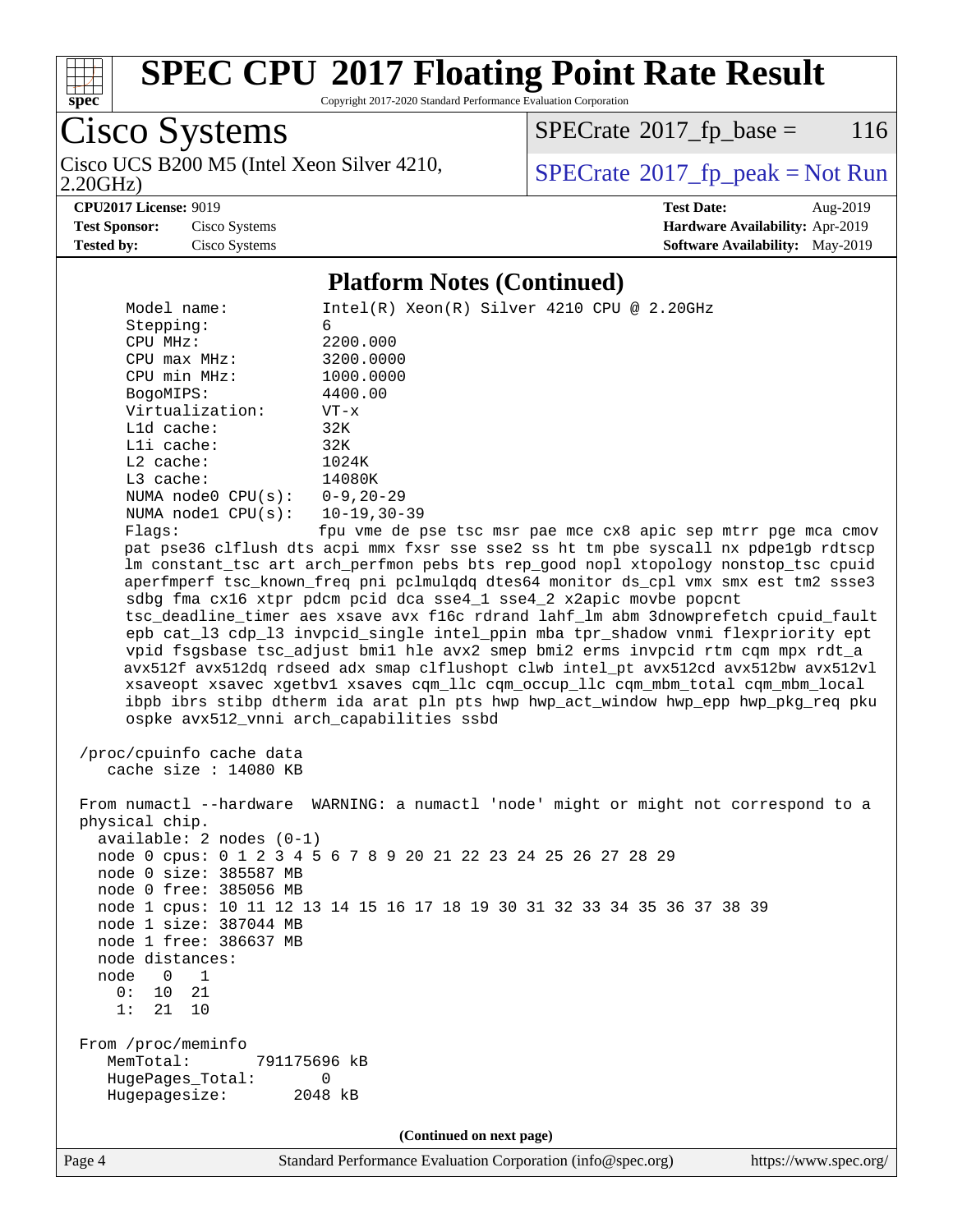

Copyright 2017-2020 Standard Performance Evaluation Corporation

Cisco Systems Cisco UCS B200 M5 (Intel Xeon Silver 4210,<br>2.20GHz)

 $SPECTate$ <sup>®</sup>[2017\\_fp\\_base =](http://www.spec.org/auto/cpu2017/Docs/result-fields.html#SPECrate2017fpbase) 116

 $SPECTate$ <sup>®</sup>[2017\\_fp\\_peak = N](http://www.spec.org/auto/cpu2017/Docs/result-fields.html#SPECrate2017fppeak)ot Run

**[CPU2017 License:](http://www.spec.org/auto/cpu2017/Docs/result-fields.html#CPU2017License)** 9019 **[Test Date:](http://www.spec.org/auto/cpu2017/Docs/result-fields.html#TestDate)** Aug-2019 **[Test Sponsor:](http://www.spec.org/auto/cpu2017/Docs/result-fields.html#TestSponsor)** Cisco Systems **[Hardware Availability:](http://www.spec.org/auto/cpu2017/Docs/result-fields.html#HardwareAvailability)** Apr-2019 **[Tested by:](http://www.spec.org/auto/cpu2017/Docs/result-fields.html#Testedby)** Cisco Systems **[Software Availability:](http://www.spec.org/auto/cpu2017/Docs/result-fields.html#SoftwareAvailability)** May-2019

#### **[Platform Notes \(Continued\)](http://www.spec.org/auto/cpu2017/Docs/result-fields.html#PlatformNotes)**

Model name: Intel(R) Xeon(R) Silver 4210 CPU @ 2.20GHz Stepping: 6<br>
CPU MHz: 2200.000 CPU MHz: 2200.000 CPU max MHz: 3200.0000 CPU min MHz: 1000.0000 BogoMIPS: 4400.00 Virtualization: VT-x L1d cache: 32K L1i cache: 32K L2 cache: 1024K L3 cache: 14080K NUMA node0 CPU(s): 0-9,20-29 NUMA node1 CPU(s): 10-19,30-39 Flags: fpu vme de pse tsc msr pae mce cx8 apic sep mtrr pge mca cmov pat pse36 clflush dts acpi mmx fxsr sse sse2 ss ht tm pbe syscall nx pdpe1gb rdtscp lm constant\_tsc art arch\_perfmon pebs bts rep\_good nopl xtopology nonstop\_tsc cpuid aperfmperf tsc\_known\_freq pni pclmulqdq dtes64 monitor ds\_cpl vmx smx est tm2 ssse3 sdbg fma cx16 xtpr pdcm pcid dca sse4\_1 sse4\_2 x2apic movbe popcnt tsc\_deadline\_timer aes xsave avx f16c rdrand lahf\_lm abm 3dnowprefetch cpuid\_fault epb cat\_l3 cdp\_l3 invpcid\_single intel\_ppin mba tpr\_shadow vnmi flexpriority ept vpid fsgsbase tsc\_adjust bmi1 hle avx2 smep bmi2 erms invpcid rtm cqm mpx rdt\_a avx512f avx512dq rdseed adx smap clflushopt clwb intel\_pt avx512cd avx512bw avx512vl xsaveopt xsavec xgetbv1 xsaves cqm\_llc cqm\_occup\_llc cqm\_mbm\_total cqm\_mbm\_local ibpb ibrs stibp dtherm ida arat pln pts hwp hwp\_act\_window hwp\_epp hwp\_pkg\_req pku ospke avx512\_vnni arch\_capabilities ssbd /proc/cpuinfo cache data cache size : 14080 KB From numactl --hardware WARNING: a numactl 'node' might or might not correspond to a physical chip. available: 2 nodes (0-1) node 0 cpus: 0 1 2 3 4 5 6 7 8 9 20 21 22 23 24 25 26 27 28 29 node 0 size: 385587 MB node 0 free: 385056 MB node 1 cpus: 10 11 12 13 14 15 16 17 18 19 30 31 32 33 34 35 36 37 38 39 node 1 size: 387044 MB node 1 free: 386637 MB node distances: node 0 1 0: 10 21 1: 21 10 From /proc/meminfo MemTotal: 791175696 kB HugePages\_Total: 0 Hugepagesize: 2048 kB **(Continued on next page)**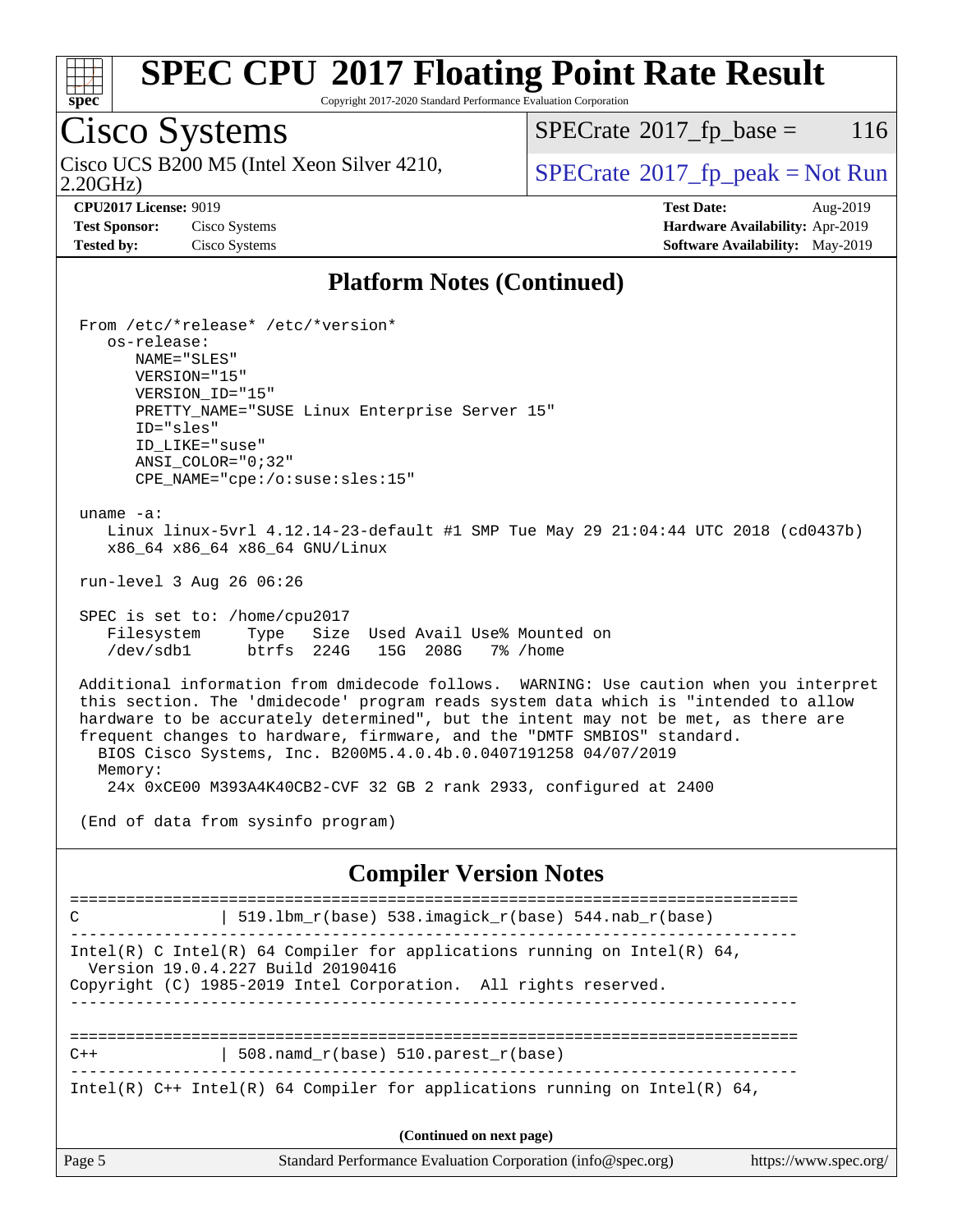

Copyright 2017-2020 Standard Performance Evaluation Corporation

### Cisco Systems

2.20GHz) Cisco UCS B200 M5 (Intel Xeon Silver 4210,  $\vert$  [SPECrate](http://www.spec.org/auto/cpu2017/Docs/result-fields.html#SPECrate2017fppeak) 2017 fp peak = Not Run

 $SPECTate$ <sup>®</sup>[2017\\_fp\\_base =](http://www.spec.org/auto/cpu2017/Docs/result-fields.html#SPECrate2017fpbase) 116

**[CPU2017 License:](http://www.spec.org/auto/cpu2017/Docs/result-fields.html#CPU2017License)** 9019 **[Test Date:](http://www.spec.org/auto/cpu2017/Docs/result-fields.html#TestDate)** Aug-2019 **[Test Sponsor:](http://www.spec.org/auto/cpu2017/Docs/result-fields.html#TestSponsor)** Cisco Systems **[Hardware Availability:](http://www.spec.org/auto/cpu2017/Docs/result-fields.html#HardwareAvailability)** Apr-2019 **[Tested by:](http://www.spec.org/auto/cpu2017/Docs/result-fields.html#Testedby)** Cisco Systems **[Software Availability:](http://www.spec.org/auto/cpu2017/Docs/result-fields.html#SoftwareAvailability)** May-2019

#### **[Platform Notes \(Continued\)](http://www.spec.org/auto/cpu2017/Docs/result-fields.html#PlatformNotes)**

 From /etc/\*release\* /etc/\*version\* os-release: NAME="SLES" VERSION="15" VERSION\_ID="15" PRETTY\_NAME="SUSE Linux Enterprise Server 15" ID="sles" ID\_LIKE="suse" ANSI\_COLOR="0;32" CPE\_NAME="cpe:/o:suse:sles:15" uname -a: Linux linux-5vrl 4.12.14-23-default #1 SMP Tue May 29 21:04:44 UTC 2018 (cd0437b) x86\_64 x86\_64 x86\_64 GNU/Linux run-level 3 Aug 26 06:26 SPEC is set to: /home/cpu2017 Filesystem Type Size Used Avail Use% Mounted on /dev/sdb1 btrfs 224G 15G 208G 7% /home Additional information from dmidecode follows. WARNING: Use caution when you interpret this section. The 'dmidecode' program reads system data which is "intended to allow hardware to be accurately determined", but the intent may not be met, as there are frequent changes to hardware, firmware, and the "DMTF SMBIOS" standard. BIOS Cisco Systems, Inc. B200M5.4.0.4b.0.0407191258 04/07/2019 Memory: 24x 0xCE00 M393A4K40CB2-CVF 32 GB 2 rank 2933, configured at 2400 (End of data from sysinfo program) **[Compiler Version Notes](http://www.spec.org/auto/cpu2017/Docs/result-fields.html#CompilerVersionNotes)** ============================================================================== C  $\vert$  519.1bm\_r(base) 538.imagick\_r(base) 544.nab r(base) ------------------------------------------------------------------------------ Intel(R) C Intel(R) 64 Compiler for applications running on Intel(R)  $64$ , Version 19.0.4.227 Build 20190416 Copyright (C) 1985-2019 Intel Corporation. All rights reserved. ------------------------------------------------------------------------------ ==============================================================================  $C++$  | 508.namd\_r(base) 510.parest\_r(base) ------------------------------------------------------------------------------ Intel(R)  $C++$  Intel(R) 64 Compiler for applications running on Intel(R) 64,

**(Continued on next page)**

| U<br>'age |  |
|-----------|--|
|-----------|--|

Page 5 Standard Performance Evaluation Corporation [\(info@spec.org\)](mailto:info@spec.org) <https://www.spec.org/>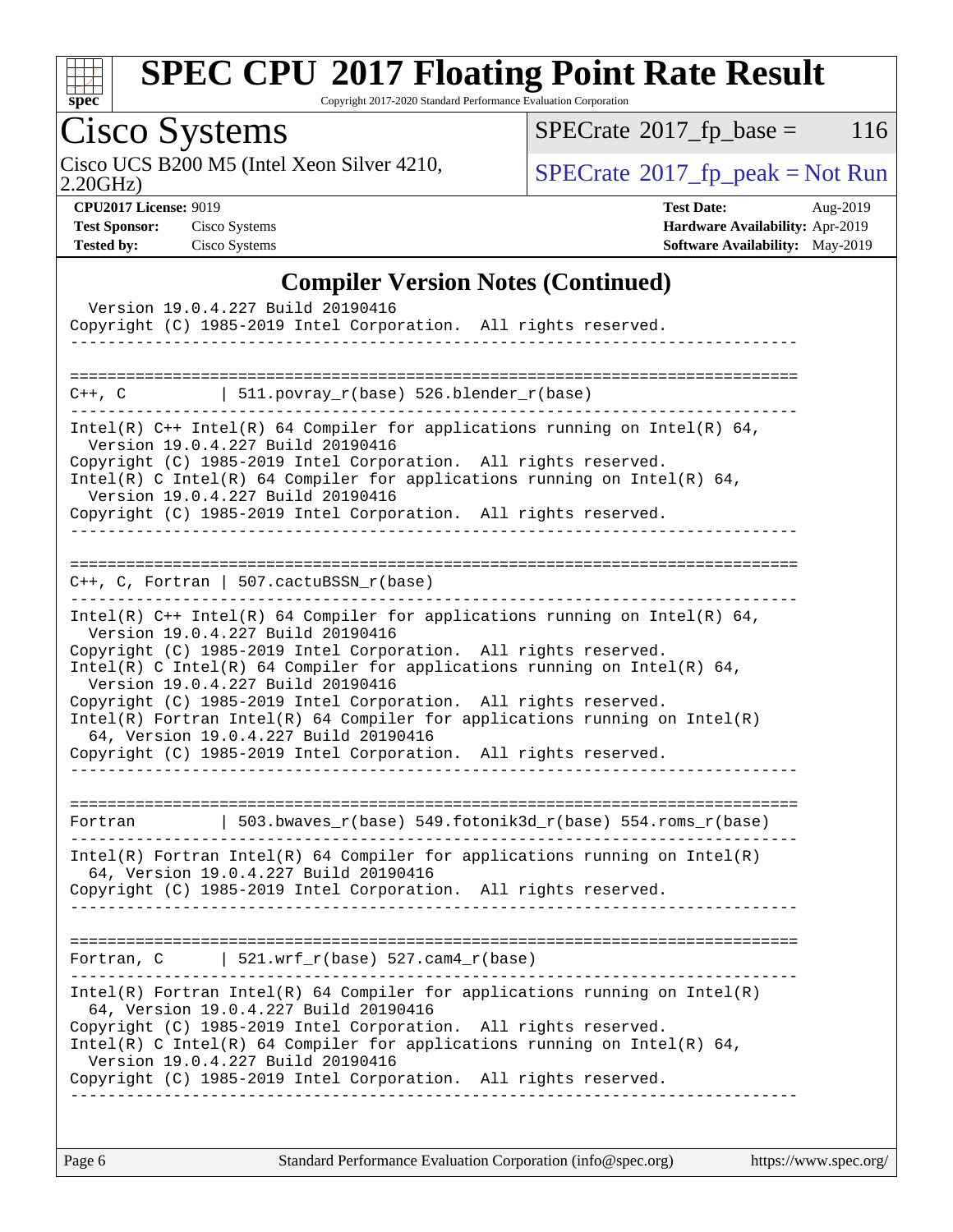

Copyright 2017-2020 Standard Performance Evaluation Corporation

# Cisco Systems

2.20GHz) Cisco UCS B200 M5 (Intel Xeon Silver 4210,  $\boxed{\text{SPECrate}^{\circ}2017\_fp\_peak = Not Run}$  $\boxed{\text{SPECrate}^{\circ}2017\_fp\_peak = Not Run}$  $\boxed{\text{SPECrate}^{\circ}2017\_fp\_peak = Not Run}$ 

 $SPECTate@2017_fp\_base = 116$ 

**[CPU2017 License:](http://www.spec.org/auto/cpu2017/Docs/result-fields.html#CPU2017License)** 9019 **[Test Date:](http://www.spec.org/auto/cpu2017/Docs/result-fields.html#TestDate)** Aug-2019 **[Test Sponsor:](http://www.spec.org/auto/cpu2017/Docs/result-fields.html#TestSponsor)** Cisco Systems **[Hardware Availability:](http://www.spec.org/auto/cpu2017/Docs/result-fields.html#HardwareAvailability)** Apr-2019 **[Tested by:](http://www.spec.org/auto/cpu2017/Docs/result-fields.html#Testedby)** Cisco Systems **[Software Availability:](http://www.spec.org/auto/cpu2017/Docs/result-fields.html#SoftwareAvailability)** May-2019

#### **[Compiler Version Notes \(Continued\)](http://www.spec.org/auto/cpu2017/Docs/result-fields.html#CompilerVersionNotes)**

| Version 19.0.4.227 Build 20190416<br>Copyright (C) 1985-2019 Intel Corporation. All rights reserved.                                                                                                                                                                                                                                                                                                                                                                                                                                                                 |
|----------------------------------------------------------------------------------------------------------------------------------------------------------------------------------------------------------------------------------------------------------------------------------------------------------------------------------------------------------------------------------------------------------------------------------------------------------------------------------------------------------------------------------------------------------------------|
| $C++$ , C $\qquad \qquad$ 511.povray_r(base) 526.blender_r(base)                                                                                                                                                                                                                                                                                                                                                                                                                                                                                                     |
| Intel(R) C++ Intel(R) 64 Compiler for applications running on Intel(R) 64,<br>Version 19.0.4.227 Build 20190416<br>Copyright (C) 1985-2019 Intel Corporation. All rights reserved.<br>Intel(R) C Intel(R) 64 Compiler for applications running on Intel(R) 64,<br>Version 19.0.4.227 Build 20190416<br>Copyright (C) 1985-2019 Intel Corporation. All rights reserved.<br>. _ _ _ _ _ _ _ _ _ _ _ _ _ _ _ _ _                                                                                                                                                        |
| $C++$ , C, Fortran   507.cactuBSSN_r(base)                                                                                                                                                                                                                                                                                                                                                                                                                                                                                                                           |
| Intel(R) $C++$ Intel(R) 64 Compiler for applications running on Intel(R) 64,<br>Version 19.0.4.227 Build 20190416<br>Copyright (C) 1985-2019 Intel Corporation. All rights reserved.<br>Intel(R) C Intel(R) 64 Compiler for applications running on Intel(R) 64,<br>Version 19.0.4.227 Build 20190416<br>Copyright (C) 1985-2019 Intel Corporation. All rights reserved.<br>$Intel(R)$ Fortran Intel(R) 64 Compiler for applications running on Intel(R)<br>64, Version 19.0.4.227 Build 20190416<br>Copyright (C) 1985-2019 Intel Corporation. All rights reserved. |
| 503.bwaves_r(base)                             549.fotonik3d_r(base)                            554.roms_r(base)<br>Fortran                                                                                                                                                                                                                                                                                                                                                                                                                                          |
| Intel(R) Fortran Intel(R) 64 Compiler for applications running on Intel(R)<br>64, Version 19.0.4.227 Build 20190416<br>Copyright (C) 1985-2019 Intel Corporation. All rights reserved.                                                                                                                                                                                                                                                                                                                                                                               |
| Fortran, $C$   521.wrf_r(base) 527.cam4_r(base)                                                                                                                                                                                                                                                                                                                                                                                                                                                                                                                      |
| $Intel(R)$ Fortran Intel(R) 64 Compiler for applications running on Intel(R)<br>64, Version 19.0.4.227 Build 20190416<br>Copyright (C) 1985-2019 Intel Corporation. All rights reserved.<br>Intel(R) C Intel(R) 64 Compiler for applications running on Intel(R) 64,<br>Version 19.0.4.227 Build 20190416<br>Copyright (C) 1985-2019 Intel Corporation. All rights reserved.                                                                                                                                                                                         |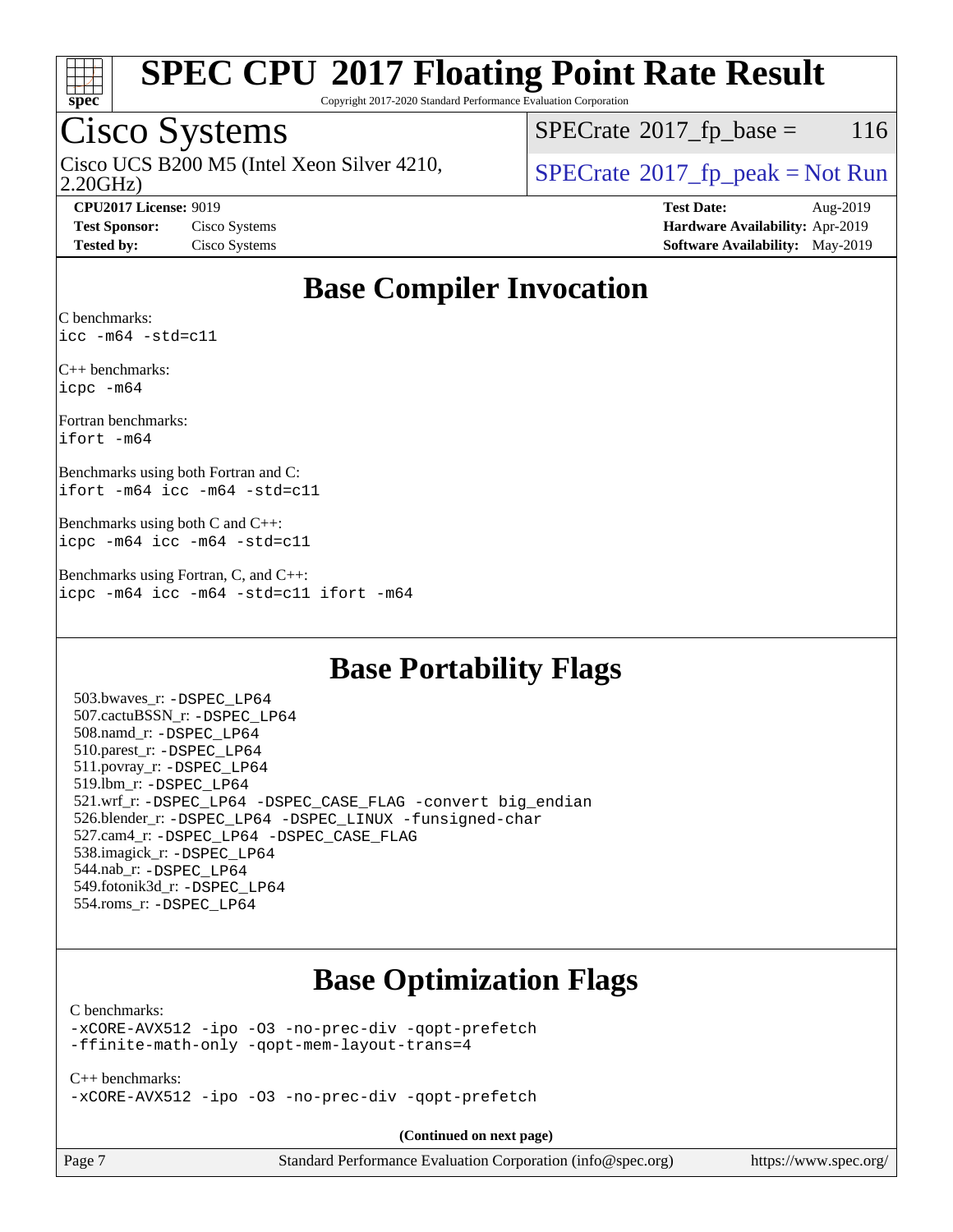

Copyright 2017-2020 Standard Performance Evaluation Corporation

### Cisco Systems

2.20GHz) Cisco UCS B200 M5 (Intel Xeon Silver 4210,  $\begin{array}{c|c} | \text{SPECrate} \textdegree 2017\_fp\_peak = Not Run \\ \hline \end{array}$  $\begin{array}{c|c} | \text{SPECrate} \textdegree 2017\_fp\_peak = Not Run \\ \hline \end{array}$  $\begin{array}{c|c} | \text{SPECrate} \textdegree 2017\_fp\_peak = Not Run \\ \hline \end{array}$ 

 $SPECTate@2017<sub>fp</sub> base = 116$ 

**[CPU2017 License:](http://www.spec.org/auto/cpu2017/Docs/result-fields.html#CPU2017License)** 9019 **[Test Date:](http://www.spec.org/auto/cpu2017/Docs/result-fields.html#TestDate)** Aug-2019 **[Test Sponsor:](http://www.spec.org/auto/cpu2017/Docs/result-fields.html#TestSponsor)** Cisco Systems **[Hardware Availability:](http://www.spec.org/auto/cpu2017/Docs/result-fields.html#HardwareAvailability)** Apr-2019 **[Tested by:](http://www.spec.org/auto/cpu2017/Docs/result-fields.html#Testedby)** Cisco Systems **[Software Availability:](http://www.spec.org/auto/cpu2017/Docs/result-fields.html#SoftwareAvailability)** May-2019

### **[Base Compiler Invocation](http://www.spec.org/auto/cpu2017/Docs/result-fields.html#BaseCompilerInvocation)**

[C benchmarks](http://www.spec.org/auto/cpu2017/Docs/result-fields.html#Cbenchmarks): [icc -m64 -std=c11](http://www.spec.org/cpu2017/results/res2019q3/cpu2017-20190903-17704.flags.html#user_CCbase_intel_icc_64bit_c11_33ee0cdaae7deeeab2a9725423ba97205ce30f63b9926c2519791662299b76a0318f32ddfffdc46587804de3178b4f9328c46fa7c2b0cd779d7a61945c91cd35)

[C++ benchmarks](http://www.spec.org/auto/cpu2017/Docs/result-fields.html#CXXbenchmarks): [icpc -m64](http://www.spec.org/cpu2017/results/res2019q3/cpu2017-20190903-17704.flags.html#user_CXXbase_intel_icpc_64bit_4ecb2543ae3f1412ef961e0650ca070fec7b7afdcd6ed48761b84423119d1bf6bdf5cad15b44d48e7256388bc77273b966e5eb805aefd121eb22e9299b2ec9d9)

[Fortran benchmarks:](http://www.spec.org/auto/cpu2017/Docs/result-fields.html#Fortranbenchmarks) [ifort -m64](http://www.spec.org/cpu2017/results/res2019q3/cpu2017-20190903-17704.flags.html#user_FCbase_intel_ifort_64bit_24f2bb282fbaeffd6157abe4f878425411749daecae9a33200eee2bee2fe76f3b89351d69a8130dd5949958ce389cf37ff59a95e7a40d588e8d3a57e0c3fd751)

[Benchmarks using both Fortran and C](http://www.spec.org/auto/cpu2017/Docs/result-fields.html#BenchmarksusingbothFortranandC): [ifort -m64](http://www.spec.org/cpu2017/results/res2019q3/cpu2017-20190903-17704.flags.html#user_CC_FCbase_intel_ifort_64bit_24f2bb282fbaeffd6157abe4f878425411749daecae9a33200eee2bee2fe76f3b89351d69a8130dd5949958ce389cf37ff59a95e7a40d588e8d3a57e0c3fd751) [icc -m64 -std=c11](http://www.spec.org/cpu2017/results/res2019q3/cpu2017-20190903-17704.flags.html#user_CC_FCbase_intel_icc_64bit_c11_33ee0cdaae7deeeab2a9725423ba97205ce30f63b9926c2519791662299b76a0318f32ddfffdc46587804de3178b4f9328c46fa7c2b0cd779d7a61945c91cd35)

[Benchmarks using both C and C++:](http://www.spec.org/auto/cpu2017/Docs/result-fields.html#BenchmarksusingbothCandCXX) [icpc -m64](http://www.spec.org/cpu2017/results/res2019q3/cpu2017-20190903-17704.flags.html#user_CC_CXXbase_intel_icpc_64bit_4ecb2543ae3f1412ef961e0650ca070fec7b7afdcd6ed48761b84423119d1bf6bdf5cad15b44d48e7256388bc77273b966e5eb805aefd121eb22e9299b2ec9d9) [icc -m64 -std=c11](http://www.spec.org/cpu2017/results/res2019q3/cpu2017-20190903-17704.flags.html#user_CC_CXXbase_intel_icc_64bit_c11_33ee0cdaae7deeeab2a9725423ba97205ce30f63b9926c2519791662299b76a0318f32ddfffdc46587804de3178b4f9328c46fa7c2b0cd779d7a61945c91cd35)

[Benchmarks using Fortran, C, and C++](http://www.spec.org/auto/cpu2017/Docs/result-fields.html#BenchmarksusingFortranCandCXX): [icpc -m64](http://www.spec.org/cpu2017/results/res2019q3/cpu2017-20190903-17704.flags.html#user_CC_CXX_FCbase_intel_icpc_64bit_4ecb2543ae3f1412ef961e0650ca070fec7b7afdcd6ed48761b84423119d1bf6bdf5cad15b44d48e7256388bc77273b966e5eb805aefd121eb22e9299b2ec9d9) [icc -m64 -std=c11](http://www.spec.org/cpu2017/results/res2019q3/cpu2017-20190903-17704.flags.html#user_CC_CXX_FCbase_intel_icc_64bit_c11_33ee0cdaae7deeeab2a9725423ba97205ce30f63b9926c2519791662299b76a0318f32ddfffdc46587804de3178b4f9328c46fa7c2b0cd779d7a61945c91cd35) [ifort -m64](http://www.spec.org/cpu2017/results/res2019q3/cpu2017-20190903-17704.flags.html#user_CC_CXX_FCbase_intel_ifort_64bit_24f2bb282fbaeffd6157abe4f878425411749daecae9a33200eee2bee2fe76f3b89351d69a8130dd5949958ce389cf37ff59a95e7a40d588e8d3a57e0c3fd751)

### **[Base Portability Flags](http://www.spec.org/auto/cpu2017/Docs/result-fields.html#BasePortabilityFlags)**

 503.bwaves\_r: [-DSPEC\\_LP64](http://www.spec.org/cpu2017/results/res2019q3/cpu2017-20190903-17704.flags.html#suite_basePORTABILITY503_bwaves_r_DSPEC_LP64) 507.cactuBSSN\_r: [-DSPEC\\_LP64](http://www.spec.org/cpu2017/results/res2019q3/cpu2017-20190903-17704.flags.html#suite_basePORTABILITY507_cactuBSSN_r_DSPEC_LP64) 508.namd\_r: [-DSPEC\\_LP64](http://www.spec.org/cpu2017/results/res2019q3/cpu2017-20190903-17704.flags.html#suite_basePORTABILITY508_namd_r_DSPEC_LP64) 510.parest\_r: [-DSPEC\\_LP64](http://www.spec.org/cpu2017/results/res2019q3/cpu2017-20190903-17704.flags.html#suite_basePORTABILITY510_parest_r_DSPEC_LP64) 511.povray\_r: [-DSPEC\\_LP64](http://www.spec.org/cpu2017/results/res2019q3/cpu2017-20190903-17704.flags.html#suite_basePORTABILITY511_povray_r_DSPEC_LP64) 519.lbm\_r: [-DSPEC\\_LP64](http://www.spec.org/cpu2017/results/res2019q3/cpu2017-20190903-17704.flags.html#suite_basePORTABILITY519_lbm_r_DSPEC_LP64) 521.wrf\_r: [-DSPEC\\_LP64](http://www.spec.org/cpu2017/results/res2019q3/cpu2017-20190903-17704.flags.html#suite_basePORTABILITY521_wrf_r_DSPEC_LP64) [-DSPEC\\_CASE\\_FLAG](http://www.spec.org/cpu2017/results/res2019q3/cpu2017-20190903-17704.flags.html#b521.wrf_r_baseCPORTABILITY_DSPEC_CASE_FLAG) [-convert big\\_endian](http://www.spec.org/cpu2017/results/res2019q3/cpu2017-20190903-17704.flags.html#user_baseFPORTABILITY521_wrf_r_convert_big_endian_c3194028bc08c63ac5d04de18c48ce6d347e4e562e8892b8bdbdc0214820426deb8554edfa529a3fb25a586e65a3d812c835984020483e7e73212c4d31a38223) 526.blender\_r: [-DSPEC\\_LP64](http://www.spec.org/cpu2017/results/res2019q3/cpu2017-20190903-17704.flags.html#suite_basePORTABILITY526_blender_r_DSPEC_LP64) [-DSPEC\\_LINUX](http://www.spec.org/cpu2017/results/res2019q3/cpu2017-20190903-17704.flags.html#b526.blender_r_baseCPORTABILITY_DSPEC_LINUX) [-funsigned-char](http://www.spec.org/cpu2017/results/res2019q3/cpu2017-20190903-17704.flags.html#user_baseCPORTABILITY526_blender_r_force_uchar_40c60f00ab013830e2dd6774aeded3ff59883ba5a1fc5fc14077f794d777847726e2a5858cbc7672e36e1b067e7e5c1d9a74f7176df07886a243d7cc18edfe67) 527.cam4\_r: [-DSPEC\\_LP64](http://www.spec.org/cpu2017/results/res2019q3/cpu2017-20190903-17704.flags.html#suite_basePORTABILITY527_cam4_r_DSPEC_LP64) [-DSPEC\\_CASE\\_FLAG](http://www.spec.org/cpu2017/results/res2019q3/cpu2017-20190903-17704.flags.html#b527.cam4_r_baseCPORTABILITY_DSPEC_CASE_FLAG) 538.imagick\_r: [-DSPEC\\_LP64](http://www.spec.org/cpu2017/results/res2019q3/cpu2017-20190903-17704.flags.html#suite_basePORTABILITY538_imagick_r_DSPEC_LP64) 544.nab\_r: [-DSPEC\\_LP64](http://www.spec.org/cpu2017/results/res2019q3/cpu2017-20190903-17704.flags.html#suite_basePORTABILITY544_nab_r_DSPEC_LP64) 549.fotonik3d\_r: [-DSPEC\\_LP64](http://www.spec.org/cpu2017/results/res2019q3/cpu2017-20190903-17704.flags.html#suite_basePORTABILITY549_fotonik3d_r_DSPEC_LP64) 554.roms\_r: [-DSPEC\\_LP64](http://www.spec.org/cpu2017/results/res2019q3/cpu2017-20190903-17704.flags.html#suite_basePORTABILITY554_roms_r_DSPEC_LP64)

### **[Base Optimization Flags](http://www.spec.org/auto/cpu2017/Docs/result-fields.html#BaseOptimizationFlags)**

#### [C benchmarks](http://www.spec.org/auto/cpu2017/Docs/result-fields.html#Cbenchmarks):

[-xCORE-AVX512](http://www.spec.org/cpu2017/results/res2019q3/cpu2017-20190903-17704.flags.html#user_CCbase_f-xCORE-AVX512) [-ipo](http://www.spec.org/cpu2017/results/res2019q3/cpu2017-20190903-17704.flags.html#user_CCbase_f-ipo) [-O3](http://www.spec.org/cpu2017/results/res2019q3/cpu2017-20190903-17704.flags.html#user_CCbase_f-O3) [-no-prec-div](http://www.spec.org/cpu2017/results/res2019q3/cpu2017-20190903-17704.flags.html#user_CCbase_f-no-prec-div) [-qopt-prefetch](http://www.spec.org/cpu2017/results/res2019q3/cpu2017-20190903-17704.flags.html#user_CCbase_f-qopt-prefetch) [-ffinite-math-only](http://www.spec.org/cpu2017/results/res2019q3/cpu2017-20190903-17704.flags.html#user_CCbase_f_finite_math_only_cb91587bd2077682c4b38af759c288ed7c732db004271a9512da14a4f8007909a5f1427ecbf1a0fb78ff2a814402c6114ac565ca162485bbcae155b5e4258871) [-qopt-mem-layout-trans=4](http://www.spec.org/cpu2017/results/res2019q3/cpu2017-20190903-17704.flags.html#user_CCbase_f-qopt-mem-layout-trans_fa39e755916c150a61361b7846f310bcdf6f04e385ef281cadf3647acec3f0ae266d1a1d22d972a7087a248fd4e6ca390a3634700869573d231a252c784941a8)

[C++ benchmarks:](http://www.spec.org/auto/cpu2017/Docs/result-fields.html#CXXbenchmarks) [-xCORE-AVX512](http://www.spec.org/cpu2017/results/res2019q3/cpu2017-20190903-17704.flags.html#user_CXXbase_f-xCORE-AVX512) [-ipo](http://www.spec.org/cpu2017/results/res2019q3/cpu2017-20190903-17704.flags.html#user_CXXbase_f-ipo) [-O3](http://www.spec.org/cpu2017/results/res2019q3/cpu2017-20190903-17704.flags.html#user_CXXbase_f-O3) [-no-prec-div](http://www.spec.org/cpu2017/results/res2019q3/cpu2017-20190903-17704.flags.html#user_CXXbase_f-no-prec-div) [-qopt-prefetch](http://www.spec.org/cpu2017/results/res2019q3/cpu2017-20190903-17704.flags.html#user_CXXbase_f-qopt-prefetch)

**(Continued on next page)**

| Page |  |
|------|--|
|      |  |

Page 7 Standard Performance Evaluation Corporation [\(info@spec.org\)](mailto:info@spec.org) <https://www.spec.org/>